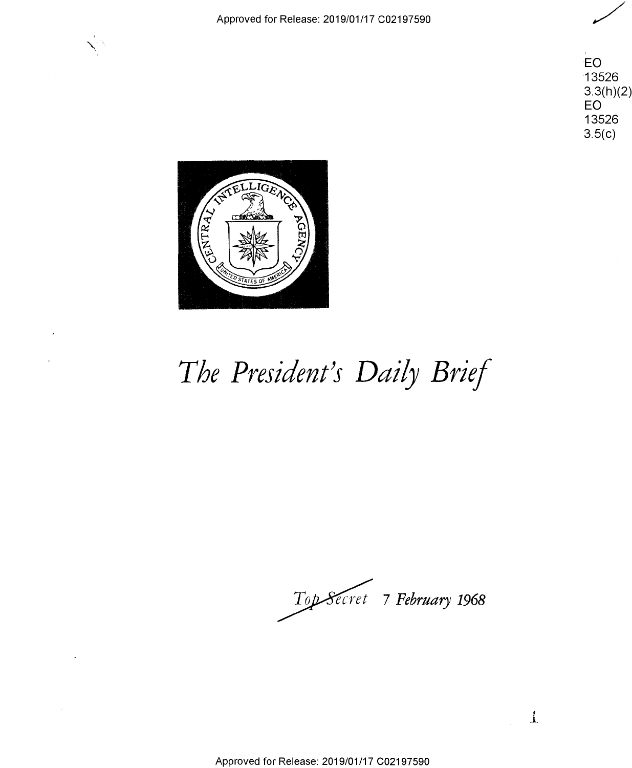Approved for Release: 2019/01/17 C02197590 Approved for Release: 2019/01/17 002197590 /

**EO**  ·13526 'EC) "13526 3.3(h)(<mark>2)</mark><br>EO<br>13526 **EO**  13526  $3.5(c)$ 

 $\perp$ 



## The President's Daily Brief

 $Top\mathcal{S}\acute{e}$ cret 7 February 1968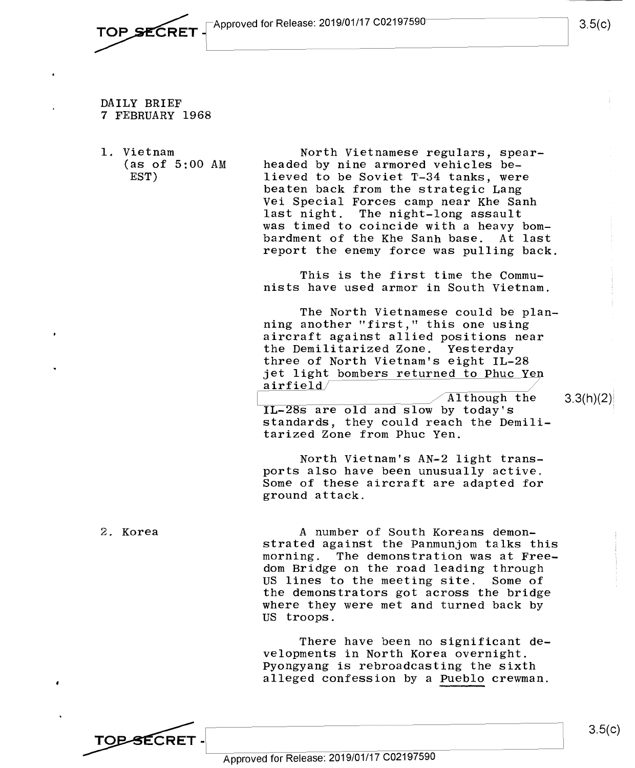- **TOP SECRET**  $\left\{\n\begin{array}{ccc}\n\text{Approved for Release: } 2019/01/17 & C02197590\n\end{array}\n\right\}\n\left.\n\left.\n\begin{array}{ccc}\n3.5 \text{(c)} \\
\end{array}\n\right\}$ 
	- DAILY BRIEF DAILY BRIEF 7 FEBRUARY 1968 7 FEBRUARY 1968
	- 1. Vietnam 1. Vietnam (as of 5:00 AM (as of 5:00 AM EST) EST)

TOP-SECRET -

North Vietnamese regulars, spear-North Vietnamese regulars, spearheaded by nine armored vehicles be-headed by nine armored vehicles be lieved to be Soviet T-34 tanks, were lieved to be Soviet T-34 tanks, were beaten back from the strategic Lang beaten back from the strategic Lang Vei Special Forces camp near Khe Sanh Vei Special Forces camp near Khe Sanh last night. The night-long assault last night. The night-long assault was timed to coincide with a heavy bom-was timed to coincide with <sup>a</sup> heavy bom bardment of the Khe Sanh base. At last bardment of the Khe Sanh base. At last report the enemy force was pulling back. report the enemy force was pulling back.

This is the first time the Commu-This is the first time the Commu~ nists have used armor in South Vietnam. nists have used armor in South Vietnam.

The North Vietnamese could be plan-The North Vietnamese could be planning another "first," this one using ning another "first," this one using aircraft against allied positions near aircraft against allied positions near the Demilitarized Zone. Yesterday the Demilitarized Zone. Yesterday three of North Vietnam's eight IL-28 three of North Vietnam's eight IL-28 ince of North Victham 5 eight 11-20<br>
jet light bombers returned to Phuc Yen<br>
Although the 3.3(h)(2)  $\frac{1}{\text{airfield}}$  //

IL-28s are old and slow by today's standards, they could reach the Demili-standards, they could reach the Demili tarized Zone from Phuc Yen. tarized Zone from Phuc Yen.  $\overline{\text{Although the}}$ 

North Vietnam's AN-2 light transports also have been unusually active. ports also have been unusually active. ports also have seen and suitry active.<br>Some of these aircraft are adapted for ground attack. ground attack.

2. Korea 2. Korea A number of South Koreans demon-A number of South Koreans demon strated against the Panmunjom talks this strated against the Panmunjom talks this morning. The demonstration was at Free-morning. The demonstration was at Free\_ dom Bridge on the road leading through dom Bridge on the road leading through US lines to the meeting site. Some of US lines to the meeting site. Some of the demonstrators got across the bridge the demonstrators got across the bridge where they were met and turned back by where they were met and turned back by US troops. US troops.

> There have been no significant de-There have been no significant den velopments in North Korea overnight. velopments in North Korea overnight. Pyongyang is rebroadcasting the sixth Pyongyang is rebroadcasting the sixth alleged confession by a Pueblo crewman. alleged confession by <sup>a</sup> Pueblo crewman.

~-L\_~~~----=-~~~~~===~~~~~~~ Approved for Release: 2019/01/17 C02197590 Approved for Release: 2019/01/17 <sup>002197590</sup>

 $3.5(c)$ 

3.3(h)(2)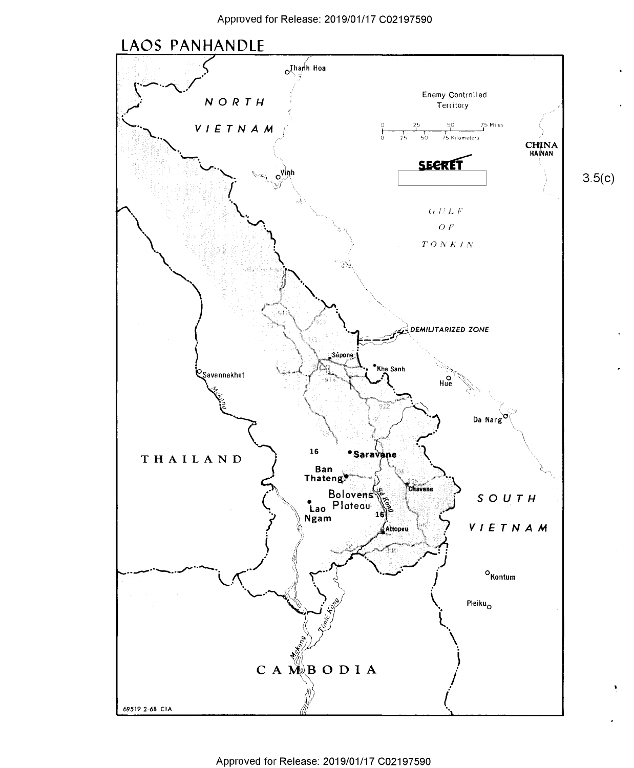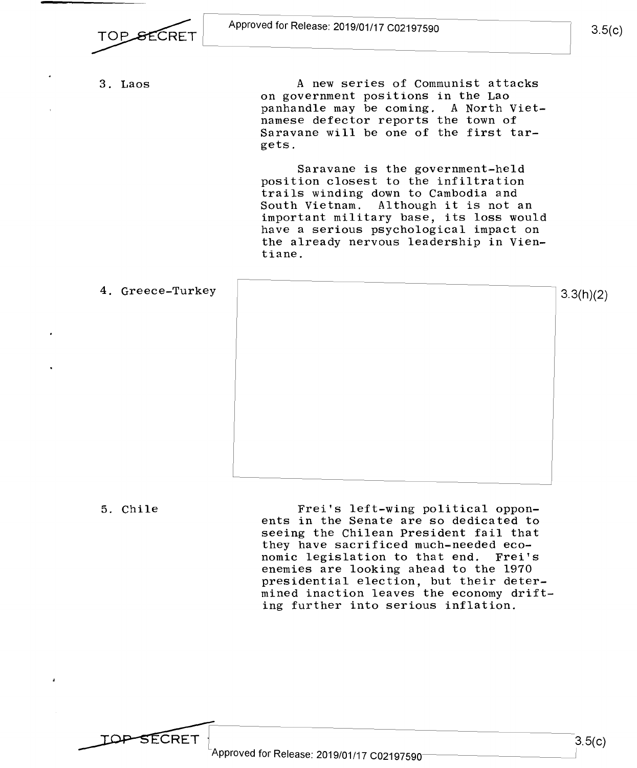

3. Laos A new series of Communist attacks on government positions in the Lao on governmen<sup>t</sup> positions in the Lao panhandle may be coming. A North Vietnamese defector reports the town of namese defector reports the town of manese derector reports one cown of<br>Saravane will be one of the first targets. gets.

> Saravane is the government-held Saravane is the government-held position closest to the infiltration position closest to the infiltration trails winding down to Cambodia and trails winding down to Cambodia and South Vietnam. Although it is not an South Vietnam. Although it is not an important military base, its loss would important military base, its loss would have a serious psychological impact on have <sup>a</sup> serious psychological impact on the already nervous leadership in Vien-the already nervous leadership in Vien tiane. tiane.

4. Greece-Turkey 3.3(h)(2) 4. Greece—Turkey 3.3(h)(2)

5. Chile **Frei's left-wing political oppon** ents in the Senate are so dedicated to ents in the Senate are so dedicated to seeing the Chilean President fail that seeing the Chilean President fail that they have sacrificed much-needed eco-they have sacrificed much-needed eco nomic legislation to that end. Frei's nomic legislation to that end. Frei's enemies are looking ahead to the 1970 enemies are looking ahead to the 1970 presidential election, but their deter-presidential election, but their deter\_ mined inaction leaves the economy drift-mined inaction leaves the economy drift ing further into serious inflation. ing further into serious inflation.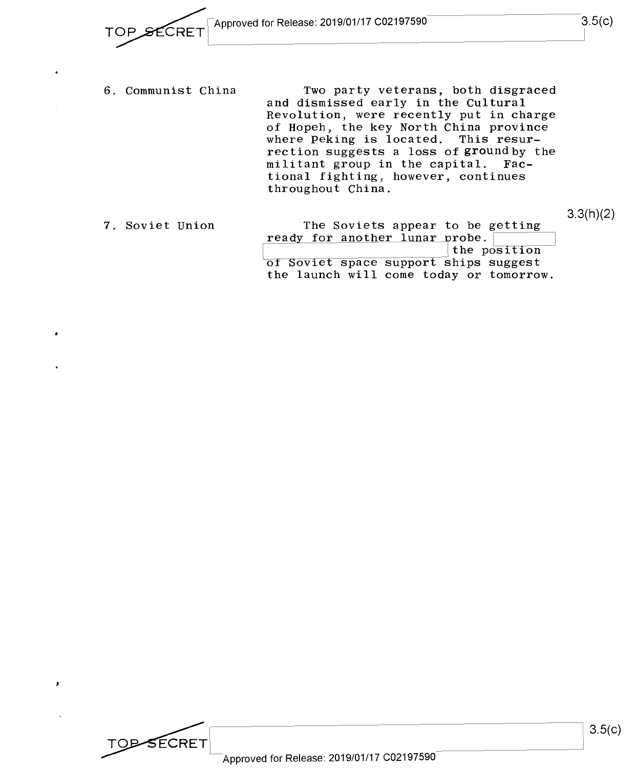6. Communist China 6. Communist China Two party veterans, both disgraced Two party veterans, both disgraced and dismissed early in the Cultural and dismissed early in the Cultural Revolution, were recently put in charge Revolution, were recently put in charge of Hopeh, the key North China province of Hopeh, the key North China province where Peking is located. This resur-where Peking is located. This resurrection suggests a loss of ground by the rection suggests <sup>a</sup> loss of ground by the militant group in the capital. Fac-militant group in the capital. Factional fighting 1 however, continues tional fighting. however, continues throughout China. throughout China.

|                                  | 3.3(h)(2)                                                                                                                          |
|----------------------------------|------------------------------------------------------------------------------------------------------------------------------------|
| The Soviets appear to be getting |                                                                                                                                    |
|                                  |                                                                                                                                    |
|                                  |                                                                                                                                    |
|                                  |                                                                                                                                    |
|                                  |                                                                                                                                    |
|                                  | ready for another lunar probe.<br>the position<br>of Soviet space support ships suggest<br>the launch will come today or tomorrow. |

Approved for Release: 2019/01/17 C02197590 Approved for Release: 2019/01/17 <sup>002197590</sup>

**TOP-SECRET** 

1

 $3.5(c)$ 

I